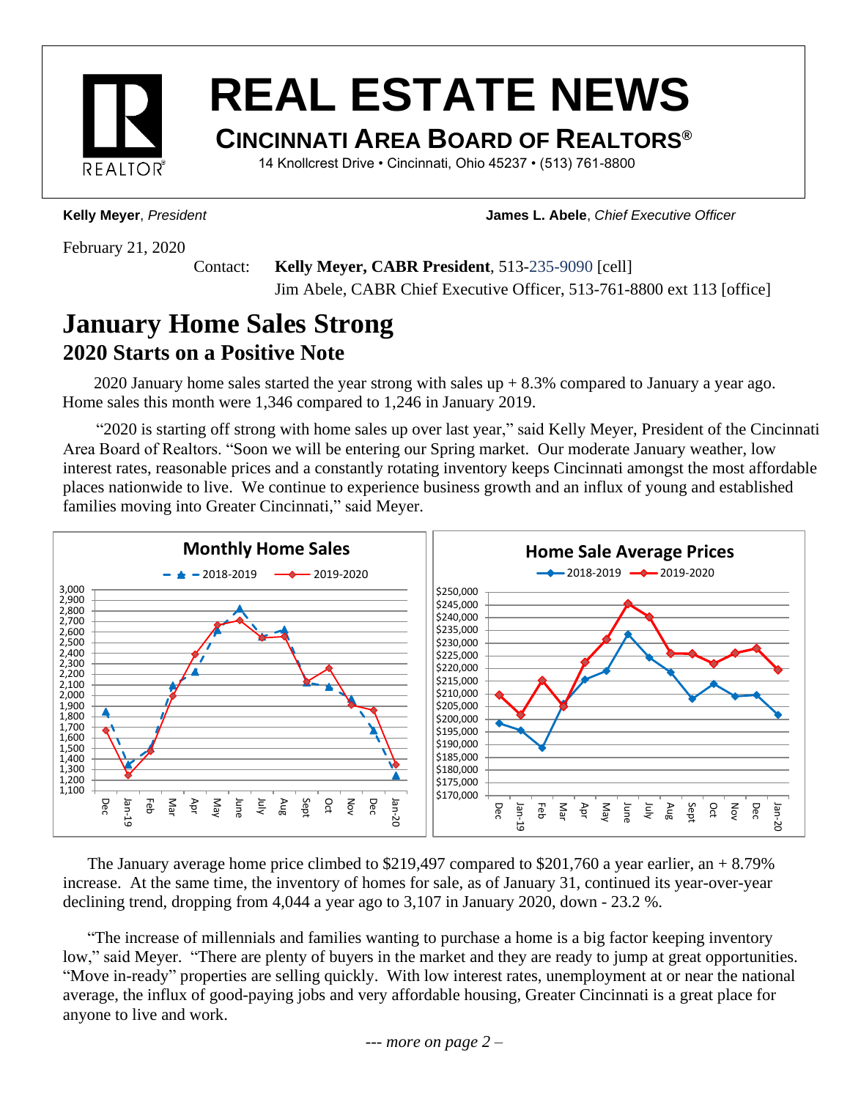

# **REAL ESTATE NEWS**

## **CINCINNATI AREA BOARD OF REALTORS®**

14 Knollcrest Drive • Cincinnati, Ohio 45237 • (513) 761-8800

**Kelly Meyer**, *President* **James L. Abele**, *Chief Executive Officer*

February 21, 2020

Contact: **Kelly Meyer, CABR President**, 513-235-9090 [cell] Jim Abele, CABR Chief Executive Officer, 513-761-8800 ext 113 [office]

# **January Home Sales Strong 2020 Starts on a Positive Note**

2020 January home sales started the year strong with sales  $up + 8.3\%$  compared to January a year ago. Home sales this month were 1,346 compared to 1,246 in January 2019.

 "2020 is starting off strong with home sales up over last year," said Kelly Meyer, President of the Cincinnati Area Board of Realtors. "Soon we will be entering our Spring market. Our moderate January weather, low interest rates, reasonable prices and a constantly rotating inventory keeps Cincinnati amongst the most affordable places nationwide to live. We continue to experience business growth and an influx of young and established families moving into Greater Cincinnati," said Meyer.



The January average home price climbed to \$219,497 compared to \$201,760 a year earlier, an  $+8.79\%$ increase. At the same time, the inventory of homes for sale, as of January 31, continued its year-over-year declining trend, dropping from 4,044 a year ago to 3,107 in January 2020, down - 23.2 %.

"The increase of millennials and families wanting to purchase a home is a big factor keeping inventory low," said Meyer. "There are plenty of buyers in the market and they are ready to jump at great opportunities. "Move in-ready" properties are selling quickly. With low interest rates, unemployment at or near the national average, the influx of good-paying jobs and very affordable housing, Greater Cincinnati is a great place for anyone to live and work.